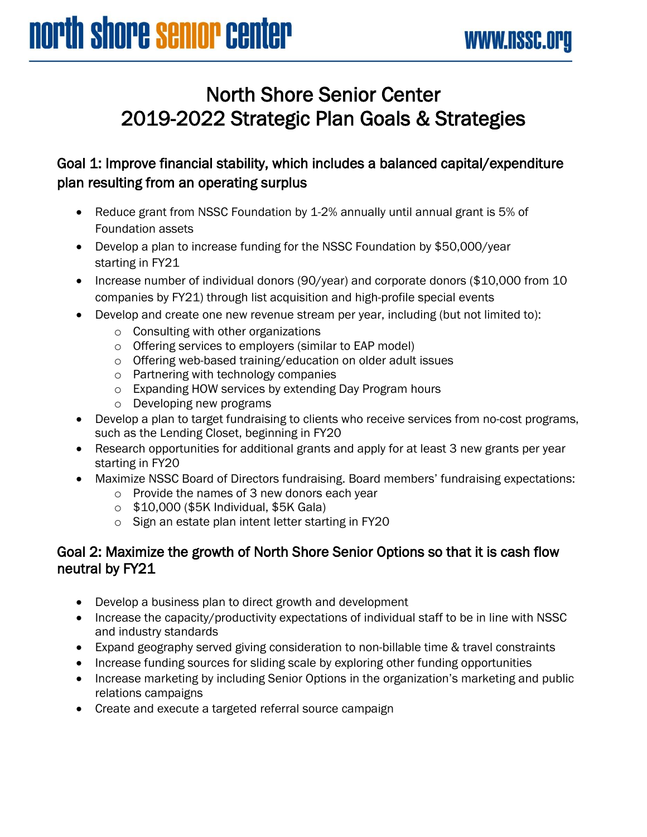# north shore senior center

## North Shore Senior Center 2019-2022 Strategic Plan Goals & Strategies

### Goal 1: Improve financial stability, which includes a balanced capital/expenditure plan resulting from an operating surplus

- Reduce grant from NSSC Foundation by 1-2% annually until annual grant is 5% of Foundation assets
- Develop a plan to increase funding for the NSSC Foundation by \$50,000/year starting in FY21
- Increase number of individual donors (90/year) and corporate donors (\$10,000 from 10 companies by FY21) through list acquisition and high-profile special events
- Develop and create one new revenue stream per year, including (but not limited to):
	- o Consulting with other organizations
	- o Offering services to employers (similar to EAP model)
	- o Offering web-based training/education on older adult issues
	- o Partnering with technology companies
	- o Expanding HOW services by extending Day Program hours
	- o Developing new programs
- Develop a plan to target fundraising to clients who receive services from no-cost programs, such as the Lending Closet, beginning in FY20
- Research opportunities for additional grants and apply for at least 3 new grants per year starting in FY20
- Maximize NSSC Board of Directors fundraising. Board members' fundraising expectations:
	- o Provide the names of 3 new donors each year
	- o \$10,000 (\$5K Individual, \$5K Gala)
	- o Sign an estate plan intent letter starting in FY20

#### Goal 2: Maximize the growth of North Shore Senior Options so that it is cash flow neutral by FY21

- Develop a business plan to direct growth and development
- Increase the capacity/productivity expectations of individual staff to be in line with NSSC and industry standards
- Expand geography served giving consideration to non-billable time & travel constraints
- Increase funding sources for sliding scale by exploring other funding opportunities
- Increase marketing by including Senior Options in the organization's marketing and public relations campaigns
- Create and execute a targeted referral source campaign